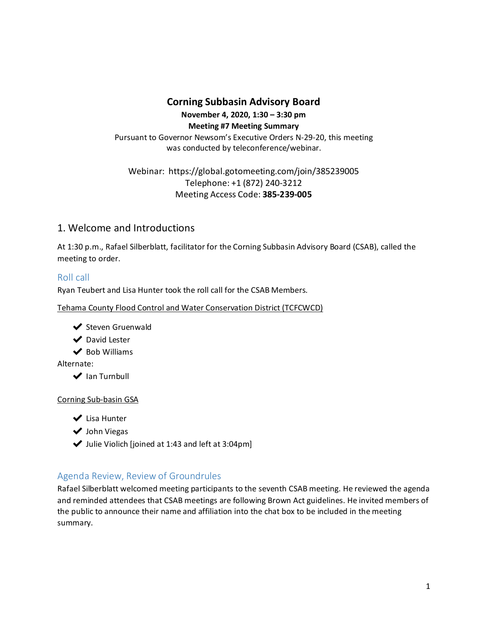## **Corning Subbasin Advisory Board**

**November 4, 2020, 1:30 – 3:30 pm Meeting #7 Meeting Summary** Pursuant to Governor Newsom's Executive Orders N-29-20, this meeting was conducted by teleconference/webinar.

#### Webinar[:](https://global.gotomeeting.com/join/292845117) https://global.gotomeeting.com/join/385239005 Telephone: +1 (872) 240-3212 Meeting Access Code: **385-239-005**

### 1. Welcome and Introductions

At 1:30 p.m., Rafael Silberblatt, facilitator for the Corning Subbasin Advisory Board (CSAB), called the meeting to order.

#### Roll call

Ryan Teubert and Lisa Hunter took the roll call for the CSAB Members.

Tehama County Flood Control and Water Conservation District (TCFCWCD)



- ◆ David Lester
- ◆ Bob Williams

Alternate:

◆ Ian Turnbull

#### Corning Sub-basin GSA

- ◆ Lisa Hunter
- ◆ John Viegas
- $\blacktriangleright$  Julie Violich [joined at 1:43 and left at 3:04pm]

### Agenda Review, Review of Groundrules

Rafael Silberblatt welcomed meeting participants to the seventh CSAB meeting. He reviewed the agenda and reminded attendees that CSAB meetings are following Brown Act guidelines. He invited members of the public to announce their name and affiliation into the chat box to be included in the meeting summary.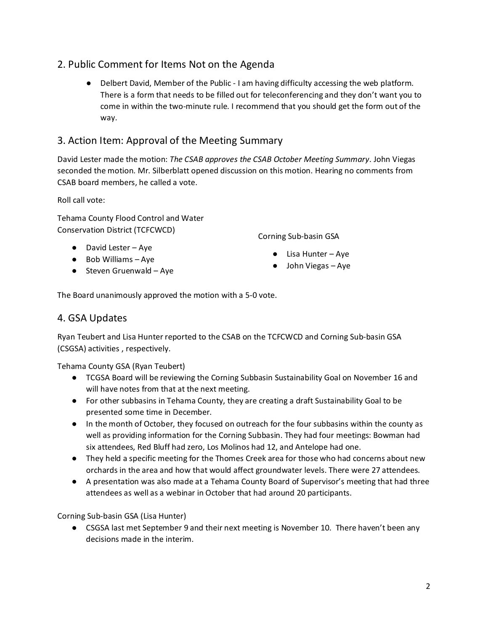## 2. Public Comment for Items Not on the Agenda

● Delbert David, Member of the Public - I am having difficulty accessing the web platform. There is a form that needs to be filled out for teleconferencing and they don't want you to come in within the two-minute rule. I recommend that you should get the form out of the way.

## 3. Action Item: Approval of the Meeting Summary

David Lester made the motion: *The CSAB approves the CSAB October Meeting Summary*. John Viegas seconded the motion. Mr. Silberblatt opened discussion on this motion. Hearing no comments from CSAB board members, he called a vote.

Roll call vote:

Tehama County Flood Control and Water Conservation District (TCFCWCD)

- David Lester Aye
- Bob Williams Aye
- $\bullet$  Steven Gruenwald Aye

Corning Sub-basin GSA

- Lisa Hunter Aye
- John Viegas Aye

The Board unanimously approved the motion with a 5-0 vote.

### 4. GSA Updates

Ryan Teubert and Lisa Hunter reported to the CSAB on the TCFCWCD and Corning Sub-basin GSA (CSGSA) activities , respectively.

Tehama County GSA (Ryan Teubert)

- TCGSA Board will be reviewing the Corning Subbasin Sustainability Goal on November 16 and will have notes from that at the next meeting.
- For other subbasins in Tehama County, they are creating a draft Sustainability Goal to be presented some time in December.
- In the month of October, they focused on outreach for the four subbasins within the county as well as providing information for the Corning Subbasin. They had four meetings: Bowman had six attendees, Red Bluff had zero, Los Molinos had 12, and Antelope had one.
- They held a specific meeting for the Thomes Creek area for those who had concerns about new orchards in the area and how that would affect groundwater levels. There were 27 attendees.
- A presentation was also made at a Tehama County Board of Supervisor's meeting that had three attendees as well as a webinar in October that had around 20 participants.

Corning Sub-basin GSA (Lisa Hunter)

● CSGSA last met September 9 and their next meeting is November 10. There haven't been any decisions made in the interim.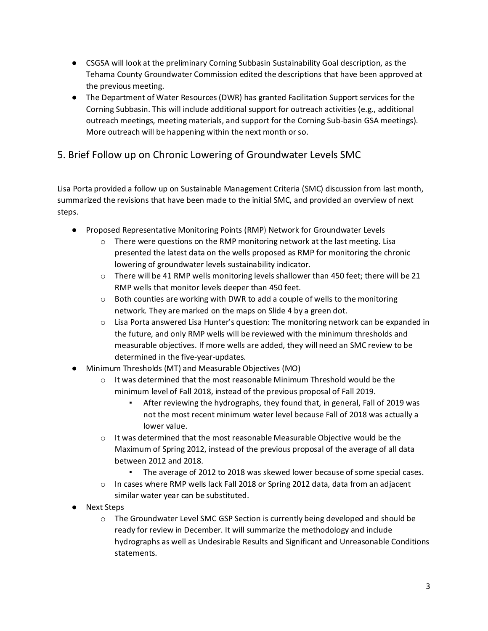- CSGSA will look at the preliminary Corning Subbasin Sustainability Goal description, as the Tehama County Groundwater Commission edited the descriptions that have been approved at the previous meeting.
- The Department of Water Resources (DWR) has granted Facilitation Support services for the Corning Subbasin. This will include additional support for outreach activities (e.g., additional outreach meetings, meeting materials, and support for the Corning Sub-basin GSA meetings). More outreach will be happening within the next month or so.

# 5. Brief Follow up on Chronic Lowering of Groundwater Levels SMC

Lisa Porta provided a follow up on Sustainable Management Criteria (SMC) discussion from last month, summarized the revisions that have been made to the initial SMC, and provided an overview of next steps.

- Proposed Representative Monitoring Points (RMP) Network for Groundwater Levels
	- $\circ$  There were questions on the RMP monitoring network at the last meeting. Lisa presented the latest data on the wells proposed as RMP for monitoring the chronic lowering of groundwater levels sustainability indicator.
	- o There will be 41 RMP wells monitoring levels shallower than 450 feet; there will be 21 RMP wells that monitor levels deeper than 450 feet.
	- $\circ$  Both counties are working with DWR to add a couple of wells to the monitoring network. They are marked on the maps on Slide 4 by a green dot.
	- $\circ$  Lisa Porta answered Lisa Hunter's question: The monitoring network can be expanded in the future, and only RMP wells will be reviewed with the minimum thresholds and measurable objectives. If more wells are added, they will need an SMC review to be determined in the five-year-updates.
- Minimum Thresholds (MT) and Measurable Objectives (MO)
	- o It was determined that the most reasonable Minimum Threshold would be the minimum level of Fall 2018, instead of the previous proposal of Fall 2019.
		- After reviewing the hydrographs, they found that, in general, Fall of 2019 was not the most recent minimum water level because Fall of 2018 was actually a lower value.
	- o It was determined that the most reasonable Measurable Objective would be the Maximum of Spring 2012, instead of the previous proposal of the average of all data between 2012 and 2018.
		- The average of 2012 to 2018 was skewed lower because of some special cases.
	- o In cases where RMP wells lack Fall 2018 or Spring 2012 data, data from an adjacent similar water year can be substituted.
- Next Steps
	- $\circ$  The Groundwater Level SMC GSP Section is currently being developed and should be ready for review in December. It will summarize the methodology and include hydrographs as well as Undesirable Results and Significant and Unreasonable Conditions statements.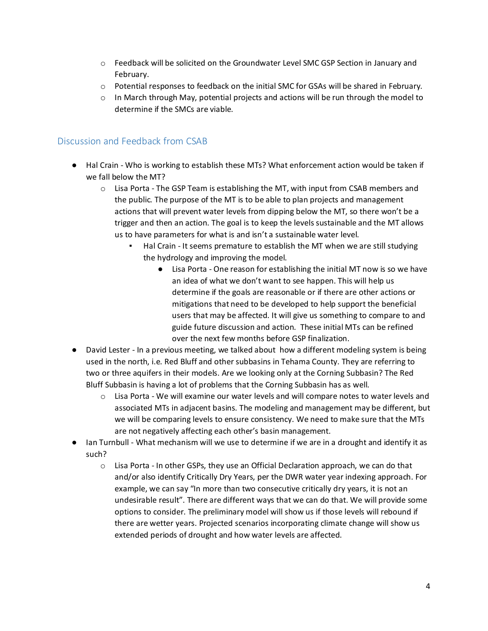- o Feedback will be solicited on the Groundwater Level SMC GSP Section in January and February.
- o Potential responses to feedback on the initial SMC for GSAs will be shared in February.
- $\circ$  In March through May, potential projects and actions will be run through the model to determine if the SMCs are viable.

#### Discussion and Feedback from CSAB

- Hal Crain Who is working to establish these MTs? What enforcement action would be taken if we fall below the MT?
	- o Lisa Porta The GSP Team is establishing the MT, with input from CSAB members and the public. The purpose of the MT is to be able to plan projects and management actions that will prevent water levels from dipping below the MT, so there won't be a trigger and then an action. The goal is to keep the levels sustainable and the MT allows us to have parameters for what is and isn't a sustainable water level.
		- Hal Crain It seems premature to establish the MT when we are still studying the hydrology and improving the model.
			- Lisa Porta One reason for establishing the initial MT now is so we have an idea of what we don't want to see happen. This will help us determine if the goals are reasonable or if there are other actions or mitigations that need to be developed to help support the beneficial users that may be affected. It will give us something to compare to and guide future discussion and action. These initial MTs can be refined over the next few months before GSP finalization.
- David Lester In a previous meeting, we talked about how a different modeling system is being used in the north, i.e. Red Bluff and other subbasins in Tehama County. They are referring to two or three aquifers in their models. Are we looking only at the Corning Subbasin? The Red Bluff Subbasin is having a lot of problems that the Corning Subbasin has as well.
	- $\circ$  Lisa Porta We will examine our water levels and will compare notes to water levels and associated MTs in adjacent basins. The modeling and management may be different, but we will be comparing levels to ensure consistency. We need to make sure that the MTs are not negatively affecting each other's basin management.
- Ian Turnbull What mechanism will we use to determine if we are in a drought and identify it as such?
	- o Lisa Porta In other GSPs, they use an Official Declaration approach, we can do that and/or also identify Critically Dry Years, per the DWR water year indexing approach. For example, we can say "In more than two consecutive critically dry years, it is not an undesirable result". There are different ways that we can do that. We will provide some options to consider. The preliminary model will show us if those levels will rebound if there are wetter years. Projected scenarios incorporating climate change will show us extended periods of drought and how water levels are affected.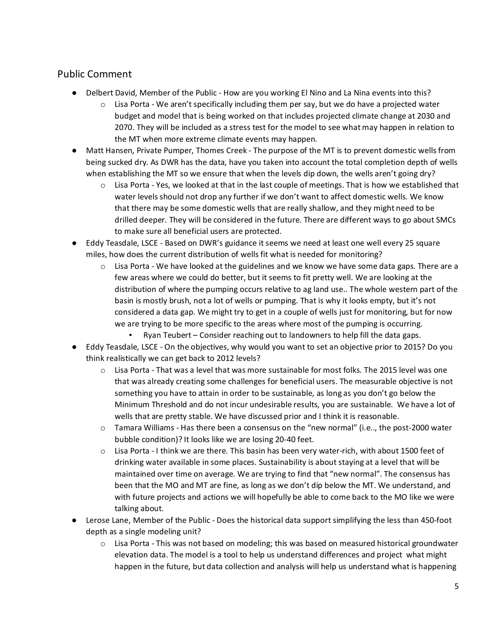## Public Comment

- Delbert David, Member of the Public How are you working El Nino and La Nina events into this?
	- $\circ$  Lisa Porta We aren't specifically including them per say, but we do have a projected water budget and model that is being worked on that includes projected climate change at 2030 and 2070. They will be included as a stress test for the model to see what may happen in relation to the MT when more extreme climate events may happen.
- Matt Hansen, Private Pumper, Thomes Creek The purpose of the MT is to prevent domestic wells from being sucked dry. As DWR has the data, have you taken into account the total completion depth of wells when establishing the MT so we ensure that when the levels dip down, the wells aren't going dry?
	- $\circ$  Lisa Porta Yes, we looked at that in the last couple of meetings. That is how we established that water levels should not drop any further if we don't want to affect domestic wells. We know that there may be some domestic wells that are really shallow, and they might need to be drilled deeper. They will be considered in the future. There are different ways to go about SMCs to make sure all beneficial users are protected.
- Eddy Teasdale, LSCE Based on DWR's guidance it seems we need at least one well every 25 square miles, how does the current distribution of wells fit what is needed for monitoring?
	- $\circ$  Lisa Porta We have looked at the guidelines and we know we have some data gaps. There are a few areas where we could do better, but it seems to fit pretty well. We are looking at the distribution of where the pumping occurs relative to ag land use.. The whole western part of the basin is mostly brush, not a lot of wells or pumping. That is why it looks empty, but it's not considered a data gap. We might try to get in a couple of wells just for monitoring, but for now we are trying to be more specific to the areas where most of the pumping is occurring.
		- Ryan Teubert Consider reaching out to landowners to help fill the data gaps.
- Eddy Teasdale, LSCE On the objectives, why would you want to set an objective prior to 2015? Do you think realistically we can get back to 2012 levels?
	- $\circ$  Lisa Porta That was a level that was more sustainable for most folks. The 2015 level was one that was already creating some challenges for beneficial users. The measurable objective is not something you have to attain in order to be sustainable, as long as you don't go below the Minimum Threshold and do not incur undesirable results, you are sustainable. We have a lot of wells that are pretty stable. We have discussed prior and I think it is reasonable.
	- o Tamara Williams Has there been a consensus on the "new normal" (i.e.., the post-2000 water bubble condition)? It looks like we are losing 20-40 feet.
	- o Lisa Porta I think we are there. This basin has been very water-rich, with about 1500 feet of drinking water available in some places. Sustainability is about staying at a level that will be maintained over time on average. We are trying to find that "new normal". The consensus has been that the MO and MT are fine, as long as we don't dip below the MT. We understand, and with future projects and actions we will hopefully be able to come back to the MO like we were talking about.
- Lerose Lane, Member of the Public Does the historical data support simplifying the less than 450-foot depth as a single modeling unit?
	- o Lisa Porta This was not based on modeling; this was based on measured historical groundwater elevation data. The model is a tool to help us understand differences and project what might happen in the future, but data collection and analysis will help us understand what is happening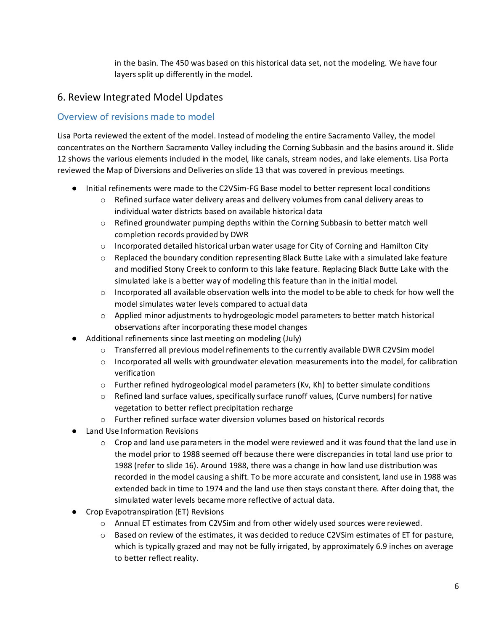in the basin. The 450 was based on this historical data set, not the modeling. We have four layers split up differently in the model.

## 6. Review Integrated Model Updates

#### Overview of revisions made to model

Lisa Porta reviewed the extent of the model. Instead of modeling the entire Sacramento Valley, the model concentrates on the Northern Sacramento Valley including the Corning Subbasin and the basins around it. Slide 12 shows the various elements included in the model, like canals, stream nodes, and lake elements. Lisa Porta reviewed the Map of Diversions and Deliveries on slide 13 that was covered in previous meetings.

- Initial refinements were made to the C2VSim-FG Base model to better represent local conditions
	- $\circ$  Refined surface water delivery areas and delivery volumes from canal delivery areas to individual water districts based on available historical data
	- o Refined groundwater pumping depths within the Corning Subbasin to better match well completion records provided by DWR
	- $\circ$  Incorporated detailed historical urban water usage for City of Corning and Hamilton City
	- $\circ$  Replaced the boundary condition representing Black Butte Lake with a simulated lake feature and modified Stony Creek to conform to this lake feature. Replacing Black Butte Lake with the simulated lake is a better way of modeling this feature than in the initial model.
	- $\circ$  Incorporated all available observation wells into the model to be able to check for how well the model simulates water levels compared to actual data
	- o Applied minor adjustments to hydrogeologic model parameters to better match historical observations after incorporating these model changes
- Additional refinements since last meeting on modeling (July)
	- o Transferred all previous model refinements to the currently available DWR C2VSim model
	- $\circ$  Incorporated all wells with groundwater elevation measurements into the model, for calibration verification
	- o Further refined hydrogeological model parameters (Kv, Kh) to better simulate conditions
	- o Refined land surface values, specifically surface runoff values, (Curve numbers) for native vegetation to better reflect precipitation recharge
	- o Further refined surface water diversion volumes based on historical records
- Land Use Information Revisions
	- $\circ$  Crop and land use parameters in the model were reviewed and it was found that the land use in the model prior to 1988 seemed off because there were discrepancies in total land use prior to 1988 (refer to slide 16). Around 1988, there was a change in how land use distribution was recorded in the model causing a shift. To be more accurate and consistent, land use in 1988 was extended back in time to 1974 and the land use then stays constant there. After doing that, the simulated water levels became more reflective of actual data.
- Crop Evapotranspiration (ET) Revisions
	- o Annual ET estimates from C2VSim and from other widely used sources were reviewed.
	- o Based on review of the estimates, it was decided to reduce C2VSim estimates of ET for pasture, which is typically grazed and may not be fully irrigated, by approximately 6.9 inches on average to better reflect reality.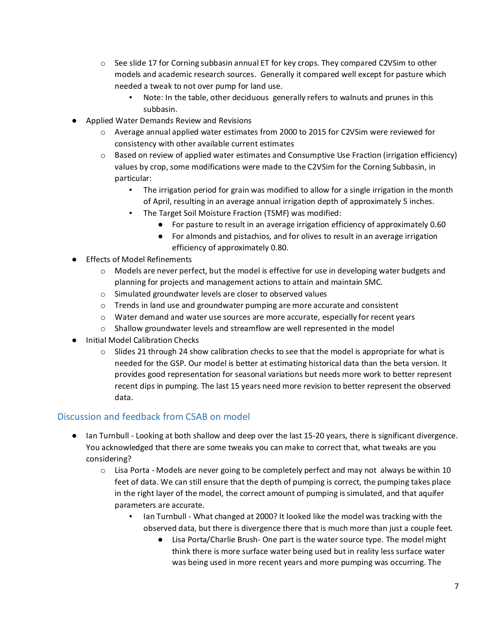- $\circ$  See slide 17 for Corning subbasin annual ET for key crops. They compared C2VSim to other models and academic research sources. Generally it compared well except for pasture which needed a tweak to not over pump for land use.
	- Note: In the table, other deciduous generally refers to walnuts and prunes in this subbasin.
- Applied Water Demands Review and Revisions
	- o Average annual applied water estimates from 2000 to 2015 for C2VSim were reviewed for consistency with other available current estimates
	- $\circ$  Based on review of applied water estimates and Consumptive Use Fraction (irrigation efficiency) values by crop, some modifications were made to the C2VSim for the Corning Subbasin, in particular:
		- The irrigation period for grain was modified to allow for a single irrigation in the month of April, resulting in an average annual irrigation depth of approximately 5 inches.
		- The Target Soil Moisture Fraction (TSMF) was modified:
			- For pasture to result in an average irrigation efficiency of approximately 0.60
			- For almonds and pistachios, and for olives to result in an average irrigation efficiency of approximately 0.80.
- Effects of Model Refinements
	- $\circ$  Models are never perfect, but the model is effective for use in developing water budgets and planning for projects and management actions to attain and maintain SMC.
	- o Simulated groundwater levels are closer to observed values
	- $\circ$  Trends in land use and groundwater pumping are more accurate and consistent
	- $\circ$  Water demand and water use sources are more accurate, especially for recent years
	- $\circ$  Shallow groundwater levels and streamflow are well represented in the model
- Initial Model Calibration Checks
	- $\circ$  Slides 21 through 24 show calibration checks to see that the model is appropriate for what is needed for the GSP. Our model is better at estimating historical data than the beta version. It provides good representation for seasonal variations but needs more work to better represent recent dips in pumping. The last 15 years need more revision to better represent the observed data.

### Discussion and feedback from CSAB on model

- Ian Turnbull Looking at both shallow and deep over the last 15-20 years, there is significant divergence. You acknowledged that there are some tweaks you can make to correct that, what tweaks are you considering?
	- $\circ$  Lisa Porta Models are never going to be completely perfect and may not always be within 10 feet of data. We can still ensure that the depth of pumping is correct, the pumping takes place in the right layer of the model, the correct amount of pumping is simulated, and that aquifer parameters are accurate.
		- Ian Turnbull What changed at 2000? It looked like the model was tracking with the observed data, but there is divergence there that is much more than just a couple feet.
			- Lisa Porta/Charlie Brush- One part is the water source type. The model might think there is more surface water being used but in reality less surface water was being used in more recent years and more pumping was occurring. The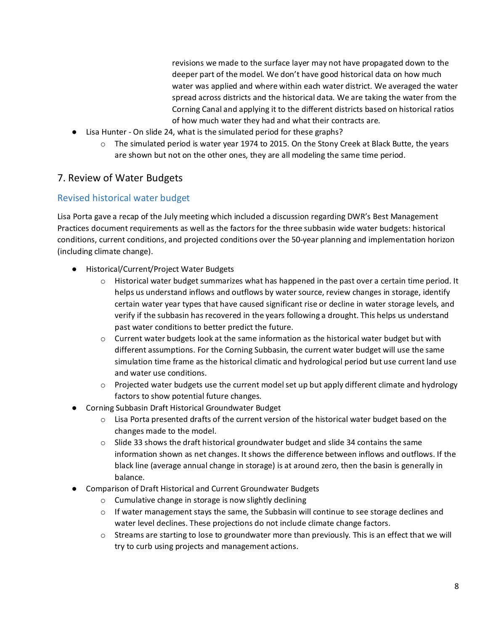revisions we made to the surface layer may not have propagated down to the deeper part of the model. We don't have good historical data on how much water was applied and where within each water district. We averaged the water spread across districts and the historical data. We are taking the water from the Corning Canal and applying it to the different districts based on historical ratios of how much water they had and what their contracts are.

- Lisa Hunter On slide 24, what is the simulated period for these graphs?
	- $\circ$  The simulated period is water year 1974 to 2015. On the Stony Creek at Black Butte, the years are shown but not on the other ones, they are all modeling the same time period.

## 7. Review of Water Budgets

#### Revised historical water budget

Lisa Porta gave a recap of the July meeting which included a discussion regarding DWR's Best Management Practices document requirements as well as the factors for the three subbasin wide water budgets: historical conditions, current conditions, and projected conditions over the 50-year planning and implementation horizon (including climate change).

- Historical/Current/Project Water Budgets
	- $\circ$  Historical water budget summarizes what has happened in the past over a certain time period. It helps us understand inflows and outflows by water source, review changes in storage, identify certain water year types that have caused significant rise or decline in water storage levels, and verify if the subbasin has recovered in the years following a drought. This helps us understand past water conditions to better predict the future.
	- $\circ$  Current water budgets look at the same information as the historical water budget but with different assumptions. For the Corning Subbasin, the current water budget will use the same simulation time frame as the historical climatic and hydrological period but use current land use and water use conditions.
	- o Projected water budgets use the current model set up but apply different climate and hydrology factors to show potential future changes.
- Corning Subbasin Draft Historical Groundwater Budget
	- o Lisa Porta presented drafts of the current version of the historical water budget based on the changes made to the model.
	- $\circ$  Slide 33 shows the draft historical groundwater budget and slide 34 contains the same information shown as net changes. It shows the difference between inflows and outflows. If the black line (average annual change in storage) is at around zero, then the basin is generally in balance.
- Comparison of Draft Historical and Current Groundwater Budgets
	- o Cumulative change in storage is now slightly declining
	- $\circ$  If water management stays the same, the Subbasin will continue to see storage declines and water level declines. These projections do not include climate change factors.
	- o Streams are starting to lose to groundwater more than previously. This is an effect that we will try to curb using projects and management actions.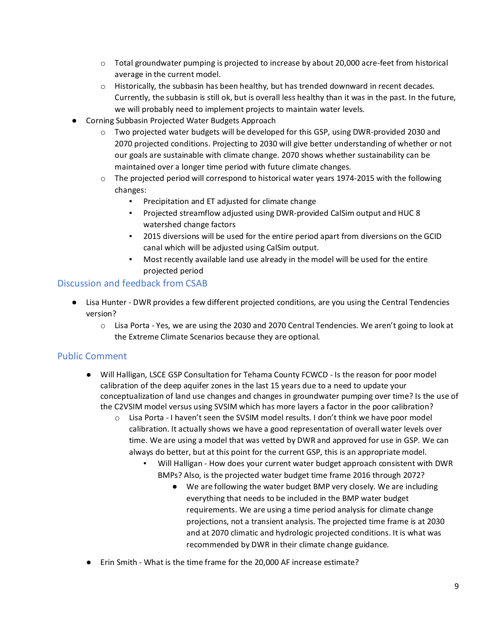- $\circ$  Total groundwater pumping is projected to increase by about 20,000 acre-feet from historical average in the current model.
- $\circ$  Historically, the subbasin has been healthy, but has trended downward in recent decades. Currently, the subbasin is still ok, but is overall less healthy than it was in the past. In the future, we will probably need to implement projects to maintain water levels.
- Corning Subbasin Projected Water Budgets Approach
	- $\circ$  Two projected water budgets will be developed for this GSP, using DWR-provided 2030 and 2070 projected conditions. Projecting to 2030 will give better understanding of whether or not our goals are sustainable with climate change. 2070 shows whether sustainability can be maintained over a longer time period with future climate changes.
	- $\circ$  The projected period will correspond to historical water years 1974-2015 with the following changes:
		- Precipitation and ET adjusted for climate change
		- Projected streamflow adjusted using DWR-provided CalSim output and HUC 8 watershed change factors
		- 2015 diversions will be used for the entire period apart from diversions on the GCID canal which will be adjusted using CalSim output.
		- Most recently available land use already in the model will be used for the entire projected period

#### Discussion and feedback from CSAB

- Lisa Hunter DWR provides a few different projected conditions, are you using the Central Tendencies version?
	- o Lisa Porta Yes, we are using the 2030 and 2070 Central Tendencies. We aren't going to look at the Extreme Climate Scenarios because they are optional.

#### Public Comment

- Will Halligan, LSCE GSP Consultation for Tehama County FCWCD Is the reason for poor model calibration of the deep aquifer zones in the last 15 years due to a need to update your conceptualization of land use changes and changes in groundwater pumping over time? Is the use of the C2VSIM model versus using SVSIM which has more layers a factor in the poor calibration?
	- o Lisa Porta I haven't seen the SVSIM model results. I don't think we have poor model calibration. It actually shows we have a good representation of overall water levels over time. We are using a model that was vetted by DWR and approved for use in GSP. We can always do better, but at this point for the current GSP, this is an appropriate model.
		- Will Halligan How does your current water budget approach consistent with DWR BMPs? Also, is the projected water budget time frame 2016 through 2072?
			- We are following the water budget BMP very closely. We are including everything that needs to be included in the BMP water budget requirements. We are using a time period analysis for climate change projections, not a transient analysis. The projected time frame is at 2030 and at 2070 climatic and hydrologic projected conditions. It is what was recommended by DWR in their climate change guidance.
- Erin Smith What is the time frame for the 20,000 AF increase estimate?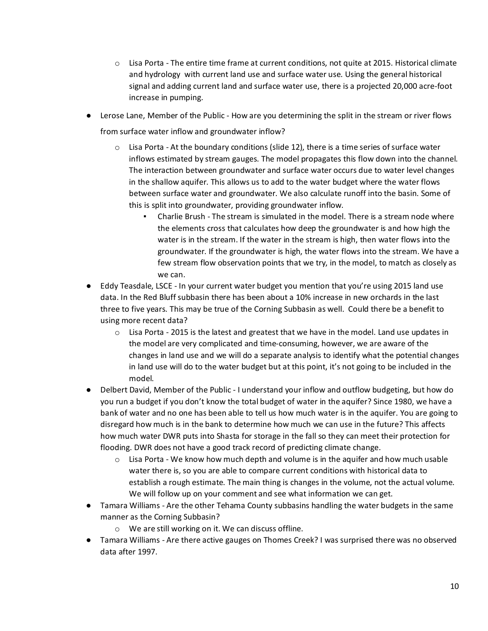- o Lisa Porta The entire time frame at current conditions, not quite at 2015. Historical climate and hydrology with current land use and surface water use. Using the general historical signal and adding current land and surface water use, there is a projected 20,000 acre-foot increase in pumping.
- Lerose Lane, Member of the Public How are you determining the split in the stream or river flows from surface water inflow and groundwater inflow?
	- $\circ$  Lisa Porta At the boundary conditions (slide 12), there is a time series of surface water inflows estimated by stream gauges. The model propagates this flow down into the channel. The interaction between groundwater and surface water occurs due to water level changes in the shallow aquifer. This allows us to add to the water budget where the water flows between surface water and groundwater. We also calculate runoff into the basin. Some of this is split into groundwater, providing groundwater inflow.
		- Charlie Brush The stream is simulated in the model. There is a stream node where the elements cross that calculates how deep the groundwater is and how high the water is in the stream. If the water in the stream is high, then water flows into the groundwater. If the groundwater is high, the water flows into the stream. We have a few stream flow observation points that we try, in the model, to match as closely as we can.
- Eddy Teasdale, LSCE In your current water budget you mention that you're using 2015 land use data. In the Red Bluff subbasin there has been about a 10% increase in new orchards in the last three to five years. This may be true of the Corning Subbasin as well. Could there be a benefit to using more recent data?
	- o Lisa Porta 2015 is the latest and greatest that we have in the model. Land use updates in the model are very complicated and time-consuming, however, we are aware of the changes in land use and we will do a separate analysis to identify what the potential changes in land use will do to the water budget but at this point, it's not going to be included in the model.
- Delbert David, Member of the Public I understand your inflow and outflow budgeting, but how do you run a budget if you don't know the total budget of water in the aquifer? Since 1980, we have a bank of water and no one has been able to tell us how much water is in the aquifer. You are going to disregard how much is in the bank to determine how much we can use in the future? This affects how much water DWR puts into Shasta for storage in the fall so they can meet their protection for flooding. DWR does not have a good track record of predicting climate change.
	- $\circ$  Lisa Porta We know how much depth and volume is in the aquifer and how much usable water there is, so you are able to compare current conditions with historical data to establish a rough estimate. The main thing is changes in the volume, not the actual volume. We will follow up on your comment and see what information we can get.
- Tamara Williams Are the other Tehama County subbasins handling the water budgets in the same manner as the Corning Subbasin?
	- o We are still working on it. We can discuss offline.
- Tamara Williams Are there active gauges on Thomes Creek? I was surprised there was no observed data after 1997.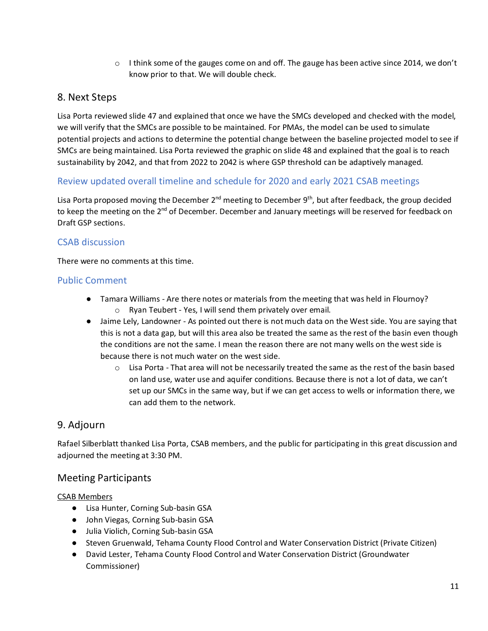$\circ$  I think some of the gauges come on and off. The gauge has been active since 2014, we don't know prior to that. We will double check.

### 8. Next Steps

Lisa Porta reviewed slide 47 and explained that once we have the SMCs developed and checked with the model, we will verify that the SMCs are possible to be maintained. For PMAs, the model can be used to simulate potential projects and actions to determine the potential change between the baseline projected model to see if SMCs are being maintained. Lisa Porta reviewed the graphic on slide 48 and explained that the goal is to reach sustainability by 2042, and that from 2022 to 2042 is where GSP threshold can be adaptively managed.

#### Review updated overall timeline and schedule for 2020 and early 2021 CSAB meetings

Lisa Porta proposed moving the December 2<sup>nd</sup> meeting to December 9<sup>th</sup>, but after feedback, the group decided to keep the meeting on the 2<sup>nd</sup> of December. December and January meetings will be reserved for feedback on Draft GSP sections.

#### CSAB discussion

There were no comments at this time.

#### Public Comment

- Tamara Williams Are there notes or materials from the meeting that was held in Flournoy? o Ryan Teubert - Yes, I will send them privately over email.
- Jaime Lely, Landowner As pointed out there is not much data on the West side. You are saying that this is not a data gap, but will this area also be treated the same as the rest of the basin even though the conditions are not the same. I mean the reason there are not many wells on the west side is because there is not much water on the west side.
	- $\circ$  Lisa Porta That area will not be necessarily treated the same as the rest of the basin based on land use, water use and aquifer conditions. Because there is not a lot of data, we can't set up our SMCs in the same way, but if we can get access to wells or information there, we can add them to the network.

### 9. Adjourn

Rafael Silberblatt thanked Lisa Porta, CSAB members, and the public for participating in this great discussion and adjourned the meeting at 3:30 PM.

### Meeting Participants

#### CSAB Members

- Lisa Hunter, Corning Sub-basin GSA
- John Viegas, Corning Sub-basin GSA
- Julia Violich, Corning Sub-basin GSA
- Steven Gruenwald, Tehama County Flood Control and Water Conservation District (Private Citizen)
- David Lester, Tehama County Flood Control and Water Conservation District (Groundwater Commissioner)